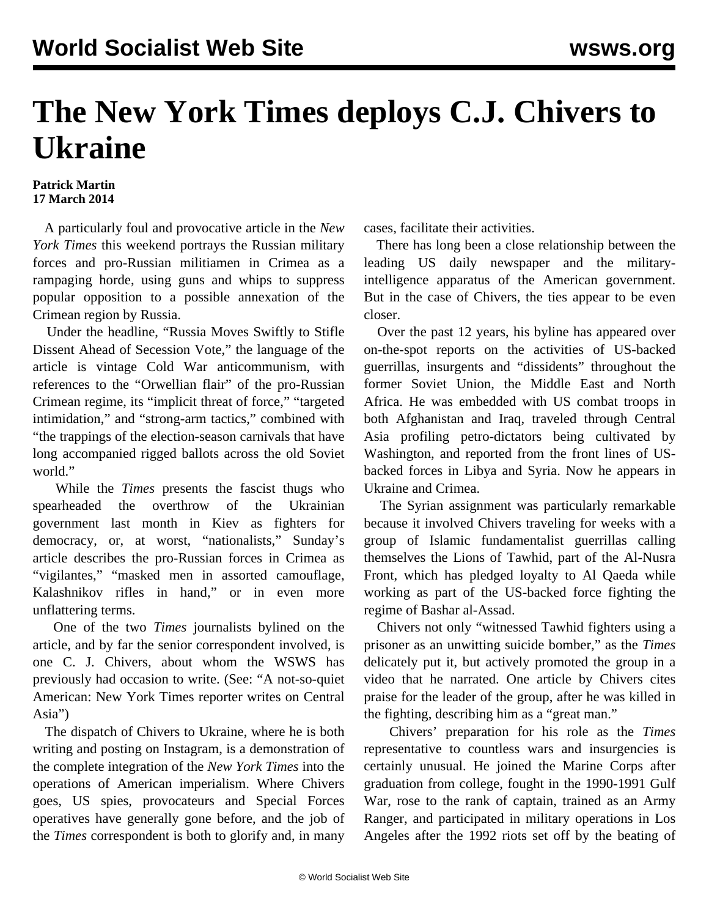## **The New York Times deploys C.J. Chivers to Ukraine**

## **Patrick Martin 17 March 2014**

 A particularly foul and provocative article in the *New York Times* this weekend portrays the Russian military forces and pro-Russian militiamen in Crimea as a rampaging horde, using guns and whips to suppress popular opposition to a possible annexation of the Crimean region by Russia.

 Under the headline, "Russia Moves Swiftly to Stifle Dissent Ahead of Secession Vote," the language of the article is vintage Cold War anticommunism, with references to the "Orwellian flair" of the pro-Russian Crimean regime, its "implicit threat of force," "targeted intimidation," and "strong-arm tactics," combined with "the trappings of the election-season carnivals that have long accompanied rigged ballots across the old Soviet world."

 While the *Times* presents the fascist thugs who spearheaded the overthrow of the Ukrainian government last month in Kiev as fighters for democracy, or, at worst, "nationalists," Sunday's article describes the pro-Russian forces in Crimea as "vigilantes," "masked men in assorted camouflage, Kalashnikov rifles in hand," or in even more unflattering terms.

 One of the two *Times* journalists bylined on the article, and by far the senior correspondent involved, is one C. J. Chivers, about whom the WSWS has previously had occasion to write. (See: ["A not-so-quiet](/en/articles/2007/07/chiv-j11.html) [American: New York Times reporter writes on Central](/en/articles/2007/07/chiv-j11.html) [Asia](/en/articles/2007/07/chiv-j11.html)")

 The dispatch of Chivers to Ukraine, where he is both writing and posting on Instagram, is a demonstration of the complete integration of the *New York Times* into the operations of American imperialism. Where Chivers goes, US spies, provocateurs and Special Forces operatives have generally gone before, and the job of the *Times* correspondent is both to glorify and, in many

cases, facilitate their activities.

 There has long been a close relationship between the leading US daily newspaper and the militaryintelligence apparatus of the American government. But in the case of Chivers, the ties appear to be even closer.

 Over the past 12 years, his byline has appeared over on-the-spot reports on the activities of US-backed guerrillas, insurgents and "dissidents" throughout the former Soviet Union, the Middle East and North Africa. He was embedded with US combat troops in both Afghanistan and Iraq, traveled through Central Asia profiling petro-dictators being cultivated by Washington, and reported from the front lines of USbacked forces in Libya and Syria. Now he appears in Ukraine and Crimea.

 The Syrian assignment was particularly remarkable because it involved Chivers traveling for weeks with a group of Islamic fundamentalist guerrillas calling themselves the Lions of Tawhid, part of the Al-Nusra Front, which has pledged loyalty to Al Qaeda while working as part of the US-backed force fighting the regime of Bashar al-Assad.

 Chivers not only "witnessed Tawhid fighters using a prisoner as an unwitting suicide bomber," as the *Times* delicately put it, but actively promoted the group in a video that he narrated. One article by Chivers cites praise for the leader of the group, after he was killed in the fighting, describing him as a "great man."

 Chivers' preparation for his role as the *Times* representative to countless wars and insurgencies is certainly unusual. He joined the Marine Corps after graduation from college, fought in the 1990-1991 Gulf War, rose to the rank of captain, trained as an Army Ranger, and participated in military operations in Los Angeles after the 1992 riots set off by the beating of